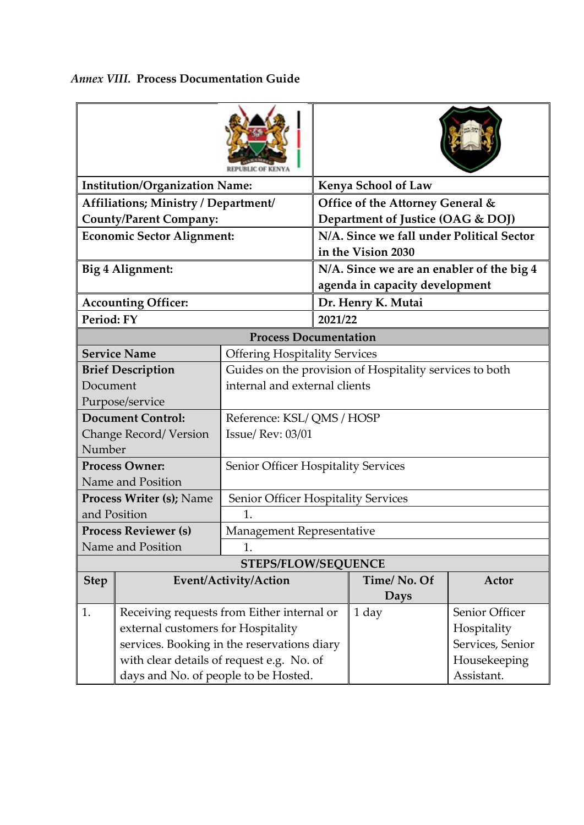| <b>Institution/Organization Name:</b>            |                                                             |                                            | <b>Kenya School of Law</b>                                      |              |                  |  |  |  |
|--------------------------------------------------|-------------------------------------------------------------|--------------------------------------------|-----------------------------------------------------------------|--------------|------------------|--|--|--|
| Affiliations; Ministry / Department/             |                                                             |                                            | Office of the Attorney General &                                |              |                  |  |  |  |
| <b>County/Parent Company:</b>                    |                                                             |                                            | Department of Justice (OAG & DOJ)                               |              |                  |  |  |  |
| <b>Economic Sector Alignment:</b>                |                                                             |                                            | N/A. Since we fall under Political Sector<br>in the Vision 2030 |              |                  |  |  |  |
| Big 4 Alignment:                                 |                                                             |                                            | N/A. Since we are an enabler of the big 4                       |              |                  |  |  |  |
|                                                  |                                                             |                                            | agenda in capacity development                                  |              |                  |  |  |  |
| <b>Accounting Officer:</b>                       |                                                             |                                            | Dr. Henry K. Mutai                                              |              |                  |  |  |  |
| Period: FY                                       |                                                             |                                            | 2021/22                                                         |              |                  |  |  |  |
| <b>Process Documentation</b>                     |                                                             |                                            |                                                                 |              |                  |  |  |  |
|                                                  | <b>Service Name</b><br><b>Offering Hospitality Services</b> |                                            |                                                                 |              |                  |  |  |  |
| <b>Brief Description</b>                         |                                                             |                                            | Guides on the provision of Hospitality services to both         |              |                  |  |  |  |
| Document                                         |                                                             | internal and external clients              |                                                                 |              |                  |  |  |  |
| Purpose/service                                  |                                                             |                                            |                                                                 |              |                  |  |  |  |
| <b>Document Control:</b>                         |                                                             | Reference: KSL/QMS/HOSP                    |                                                                 |              |                  |  |  |  |
| <b>Change Record/Version</b>                     |                                                             | <b>Issue/ Rev: 03/01</b>                   |                                                                 |              |                  |  |  |  |
| Number                                           |                                                             |                                            |                                                                 |              |                  |  |  |  |
| <b>Process Owner:</b>                            |                                                             | <b>Senior Officer Hospitality Services</b> |                                                                 |              |                  |  |  |  |
| Name and Position                                |                                                             |                                            |                                                                 |              |                  |  |  |  |
| <b>Process Writer (s); Name</b>                  |                                                             | Senior Officer Hospitality Services        |                                                                 |              |                  |  |  |  |
| and Position                                     |                                                             | 1.                                         |                                                                 |              |                  |  |  |  |
| <b>Process Reviewer (s)</b><br>Name and Position |                                                             | Management Representative                  |                                                                 |              |                  |  |  |  |
|                                                  |                                                             | 1.<br><b>STEPS/FLOW/SEQUENCE</b>           |                                                                 |              |                  |  |  |  |
| <b>Step</b>                                      |                                                             |                                            | Time/No. Of                                                     |              | Actor            |  |  |  |
|                                                  | Event/Activity/Action                                       |                                            |                                                                 | <b>Days</b>  |                  |  |  |  |
| 1.                                               | Receiving requests from Either internal or                  |                                            |                                                                 | 1 day        | Senior Officer   |  |  |  |
| external customers for Hospitality               |                                                             |                                            |                                                                 | Hospitality  |                  |  |  |  |
| services. Booking in the reservations diary      |                                                             |                                            |                                                                 |              | Services, Senior |  |  |  |
| with clear details of request e.g. No. of        |                                                             |                                            |                                                                 | Housekeeping |                  |  |  |  |
| days and No. of people to be Hosted.             |                                                             |                                            |                                                                 |              | Assistant.       |  |  |  |

## *Annex VIII.* **Process Documentation Guide**